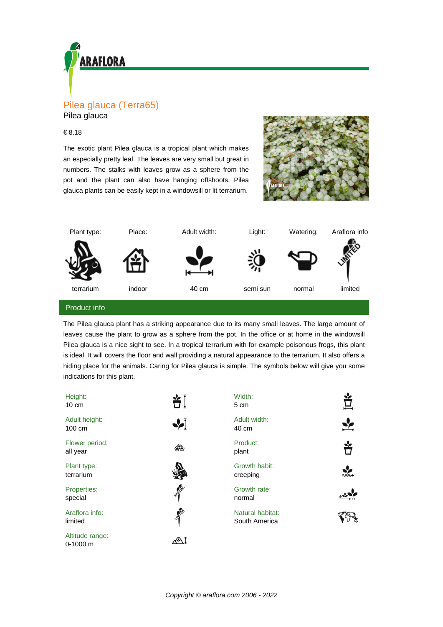

Pilea glauca

## € 8.18

The exotic plant Pilea glauca is a tropical plant which makes an especially pretty leaf. The leaves are very small but great in numbers. The stalks with leaves grow as a sphere from the pot and the plant can also have hanging offshoots. Pilea glauca plants can be easily kept in a windowsill or lit terrarium.





## Product info

The Pilea glauca plant has a striking appearance due to its many small leaves. The large amount of leaves cause the plant to grow as a sphere from the pot. In the office or at home in the windowsill Pilea glauca is a nice sight to see. In a tropical terrarium with for example poisonous frogs, this plant is ideal. It will covers the floor and wall providing a natural appearance to the terrarium. It also offers a hiding place for the animals. Caring for Pilea glauca is simple. The symbols below will give you some indications for this plant.

| Height:<br>$10 \text{ cm}$    | ᡷ               | Width:<br>5 cm                    | 亘             |
|-------------------------------|-----------------|-----------------------------------|---------------|
| Adult height:<br>100 cm       | ∙∕∫             | Adult width:<br>40 cm             |               |
| Flower period:<br>all year    | ශීම             | Product:<br>plant                 | Ÿ             |
| Plant type:<br>terrarium      |                 | Growth habit:<br>creeping         | $\frac{1}{2}$ |
| Properties:<br>special        | <b>SPROTE</b>   | Growth rate:<br>normal            |               |
| Araflora info:<br>limited     | <b>AMERICAN</b> | Natural habitat:<br>South America |               |
| Altitude range:<br>$0-1000$ m |                 |                                   |               |